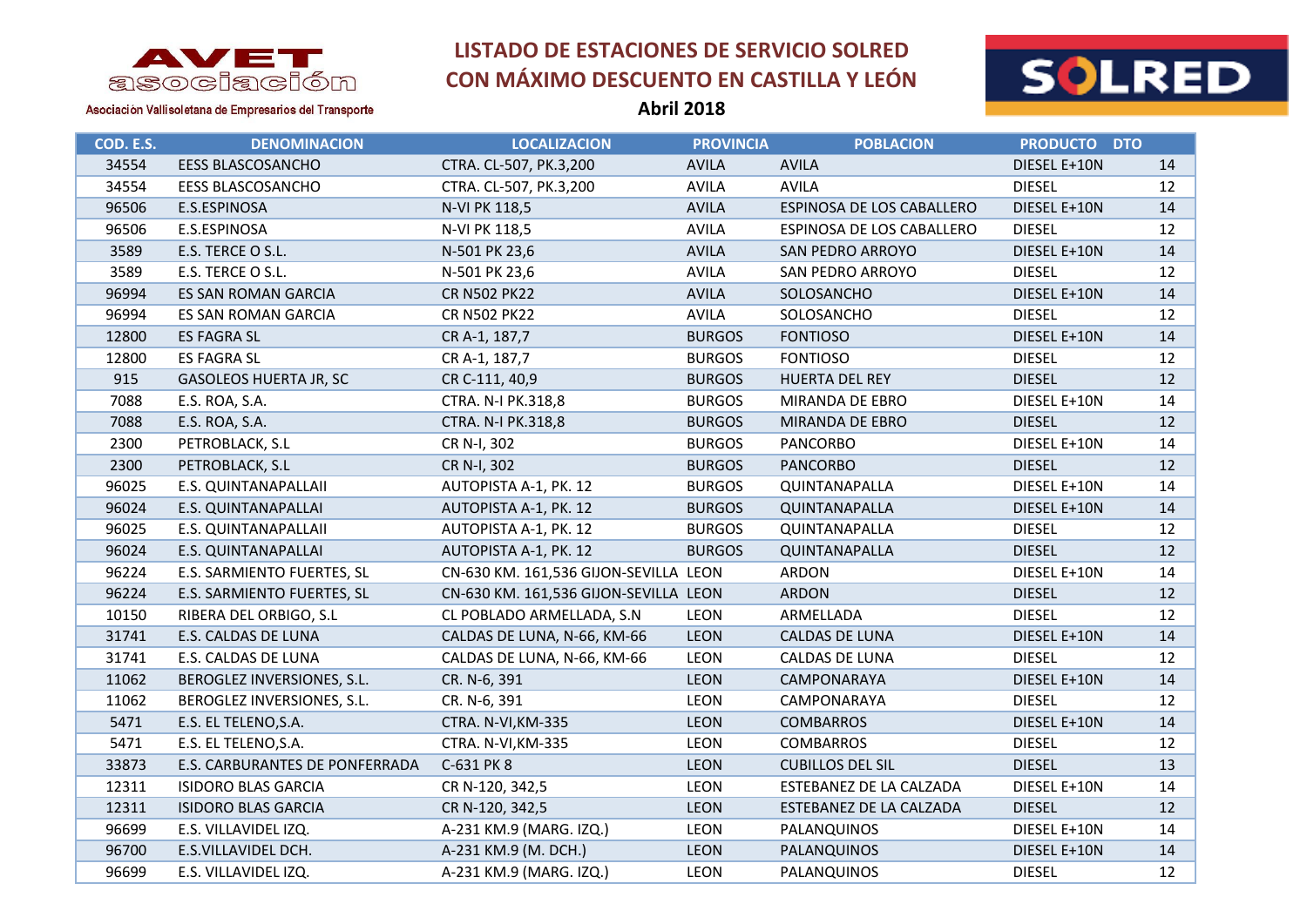



Asociación Vallisoletana de Empresarios del Transporte

**Abril 2018**

| COD. E.S. | <b>DENOMINACION</b>            | <b>LOCALIZACION</b>                   | <b>PROVINCIA</b> | <b>POBLACION</b>          | <b>PRODUCTO DTO</b> |    |
|-----------|--------------------------------|---------------------------------------|------------------|---------------------------|---------------------|----|
| 34554     | <b>EESS BLASCOSANCHO</b>       | CTRA. CL-507, PK.3,200                | <b>AVILA</b>     | <b>AVILA</b>              | DIESEL E+10N        | 14 |
| 34554     | <b>EESS BLASCOSANCHO</b>       | CTRA. CL-507, PK.3,200                | <b>AVILA</b>     | <b>AVILA</b>              | <b>DIESEL</b>       | 12 |
| 96506     | E.S.ESPINOSA                   | N-VI PK 118,5                         | <b>AVILA</b>     | ESPINOSA DE LOS CABALLERO | DIESEL E+10N        | 14 |
| 96506     | E.S.ESPINOSA                   | N-VI PK 118,5                         | <b>AVILA</b>     | ESPINOSA DE LOS CABALLERO | <b>DIESEL</b>       | 12 |
| 3589      | E.S. TERCE O S.L.              | N-501 PK 23,6                         | <b>AVILA</b>     | SAN PEDRO ARROYO          | DIESEL E+10N        | 14 |
| 3589      | E.S. TERCE O S.L.              | N-501 PK 23,6                         | <b>AVILA</b>     | SAN PEDRO ARROYO          | <b>DIESEL</b>       | 12 |
| 96994     | <b>ES SAN ROMAN GARCIA</b>     | <b>CR N502 PK22</b>                   | <b>AVILA</b>     | SOLOSANCHO                | DIESEL E+10N        | 14 |
| 96994     | ES SAN ROMAN GARCIA            | <b>CR N502 PK22</b>                   | <b>AVILA</b>     | SOLOSANCHO                | <b>DIESEL</b>       | 12 |
| 12800     | <b>ES FAGRA SL</b>             | CR A-1, 187,7                         | <b>BURGOS</b>    | <b>FONTIOSO</b>           | DIESEL E+10N        | 14 |
| 12800     | <b>ES FAGRA SL</b>             | CR A-1, 187,7                         | <b>BURGOS</b>    | <b>FONTIOSO</b>           | <b>DIESEL</b>       | 12 |
| 915       | <b>GASOLEOS HUERTA JR, SC</b>  | CR C-111, 40,9                        | <b>BURGOS</b>    | HUERTA DEL REY            | <b>DIESEL</b>       | 12 |
| 7088      | E.S. ROA, S.A.                 | CTRA. N-I PK.318,8                    | <b>BURGOS</b>    | MIRANDA DE EBRO           | DIESEL E+10N        | 14 |
| 7088      | E.S. ROA, S.A.                 | CTRA. N-I PK.318,8                    | <b>BURGOS</b>    | MIRANDA DE EBRO           | <b>DIESEL</b>       | 12 |
| 2300      | PETROBLACK, S.L                | CR N-I, 302                           | <b>BURGOS</b>    | <b>PANCORBO</b>           | DIESEL E+10N        | 14 |
| 2300      | PETROBLACK, S.L                | CR N-I, 302                           | <b>BURGOS</b>    | <b>PANCORBO</b>           | <b>DIESEL</b>       | 12 |
| 96025     | E.S. QUINTANAPALLAII           | AUTOPISTA A-1, PK. 12                 | <b>BURGOS</b>    | QUINTANAPALLA             | DIESEL E+10N        | 14 |
| 96024     | E.S. QUINTANAPALLAI            | AUTOPISTA A-1, PK. 12                 | <b>BURGOS</b>    | QUINTANAPALLA             | DIESEL E+10N        | 14 |
| 96025     | E.S. QUINTANAPALLAII           | AUTOPISTA A-1, PK. 12                 | <b>BURGOS</b>    | QUINTANAPALLA             | <b>DIESEL</b>       | 12 |
| 96024     | E.S. QUINTANAPALLAI            | AUTOPISTA A-1, PK. 12                 | <b>BURGOS</b>    | QUINTANAPALLA             | <b>DIESEL</b>       | 12 |
| 96224     | E.S. SARMIENTO FUERTES, SL     | CN-630 KM. 161,536 GIJON-SEVILLA LEON |                  | ARDON                     | DIESEL E+10N        | 14 |
| 96224     | E.S. SARMIENTO FUERTES, SL     | CN-630 KM. 161,536 GIJON-SEVILLA LEON |                  | ARDON                     | <b>DIESEL</b>       | 12 |
| 10150     | RIBERA DEL ORBIGO, S.L         | CL POBLADO ARMELLADA, S.N             | LEON             | ARMELLADA                 | <b>DIESEL</b>       | 12 |
| 31741     | E.S. CALDAS DE LUNA            | CALDAS DE LUNA, N-66, KM-66           | <b>LEON</b>      | CALDAS DE LUNA            | DIESEL E+10N        | 14 |
| 31741     | E.S. CALDAS DE LUNA            | CALDAS DE LUNA, N-66, KM-66           | LEON             | CALDAS DE LUNA            | <b>DIESEL</b>       | 12 |
| 11062     | BEROGLEZ INVERSIONES, S.L.     | CR. N-6, 391                          | <b>LEON</b>      | CAMPONARAYA               | DIESEL E+10N        | 14 |
| 11062     | BEROGLEZ INVERSIONES, S.L.     | CR. N-6, 391                          | <b>LEON</b>      | CAMPONARAYA               | <b>DIESEL</b>       | 12 |
| 5471      | E.S. EL TELENO, S.A.           | CTRA. N-VI, KM-335                    | LEON             | <b>COMBARROS</b>          | DIESEL E+10N        | 14 |
| 5471      | E.S. EL TELENO, S.A.           | CTRA. N-VI, KM-335                    | <b>LEON</b>      | <b>COMBARROS</b>          | <b>DIESEL</b>       | 12 |
| 33873     | E.S. CARBURANTES DE PONFERRADA | C-631 PK 8                            | <b>LEON</b>      | <b>CUBILLOS DEL SIL</b>   | <b>DIESEL</b>       | 13 |
| 12311     | <b>ISIDORO BLAS GARCIA</b>     | CR N-120, 342,5                       | <b>LEON</b>      | ESTEBANEZ DE LA CALZADA   | DIESEL E+10N        | 14 |
| 12311     | <b>ISIDORO BLAS GARCIA</b>     | CR N-120, 342,5                       | LEON             | ESTEBANEZ DE LA CALZADA   | <b>DIESEL</b>       | 12 |
| 96699     | E.S. VILLAVIDEL IZQ.           | A-231 KM.9 (MARG. IZQ.)               | <b>LEON</b>      | PALANQUINOS               | DIESEL E+10N        | 14 |
| 96700     | E.S.VILLAVIDEL DCH.            | A-231 KM.9 (M. DCH.)                  | <b>LEON</b>      | PALANQUINOS               | DIESEL E+10N        | 14 |
| 96699     | E.S. VILLAVIDEL IZQ.           | A-231 KM.9 (MARG. IZQ.)               | <b>LEON</b>      | PALANQUINOS               | <b>DIESEL</b>       | 12 |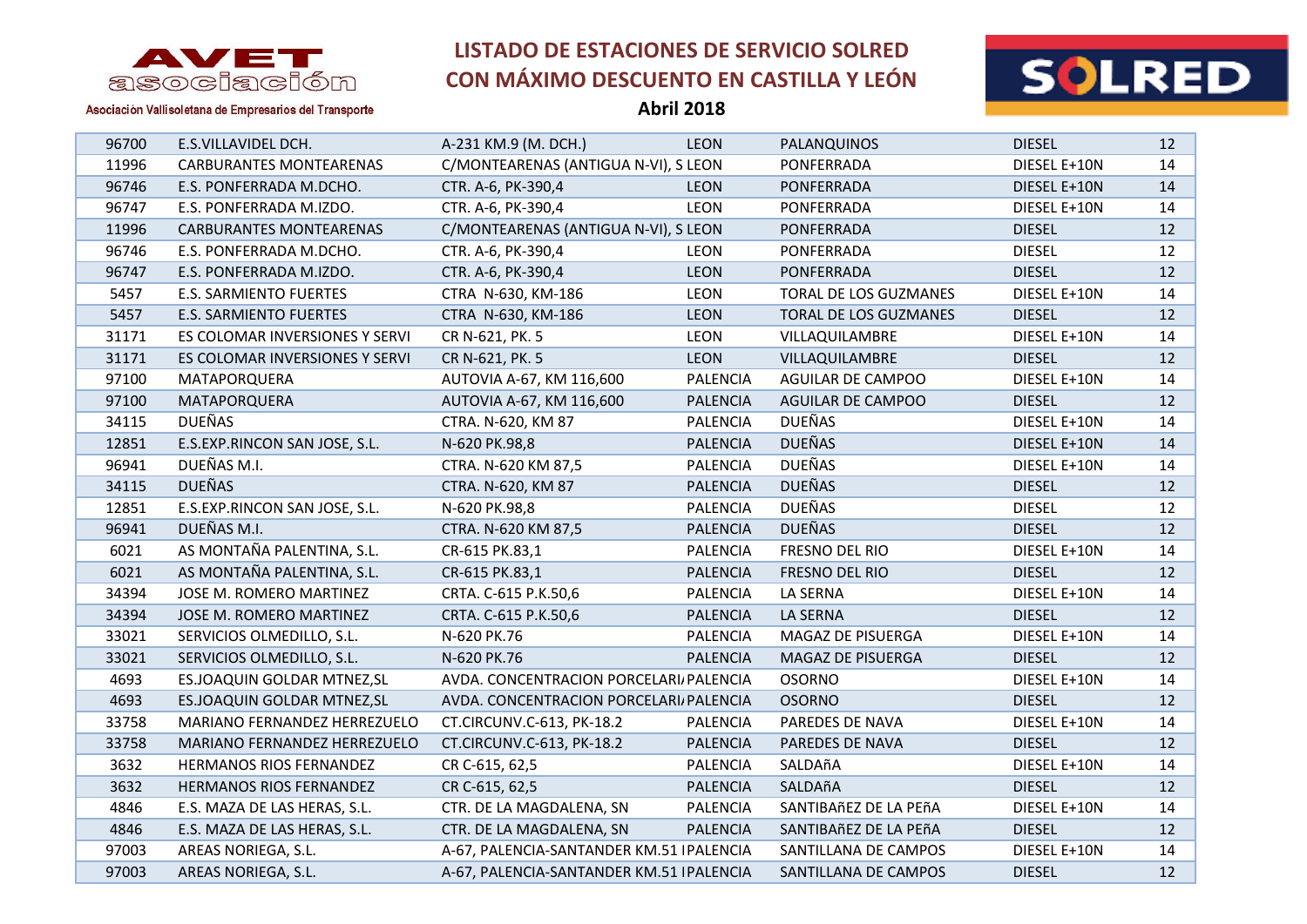

**Abril 2018**



Asociación Vallisoletana de Empresarios del Transporte

| 96700 | E.S.VILLAVIDEL DCH.            | A-231 KM.9 (M. DCH.)                      | <b>LEON</b>     | PALANQUINOS              | <b>DIESEL</b> | 12 |
|-------|--------------------------------|-------------------------------------------|-----------------|--------------------------|---------------|----|
| 11996 | <b>CARBURANTES MONTEARENAS</b> | C/MONTEARENAS (ANTIGUA N-VI), S LEON      |                 | PONFERRADA               | DIESEL E+10N  | 14 |
| 96746 | E.S. PONFERRADA M.DCHO.        | CTR. A-6, PK-390,4                        | <b>LEON</b>     | PONFERRADA               | DIESEL E+10N  | 14 |
| 96747 | E.S. PONFERRADA M.IZDO.        | CTR. A-6, PK-390,4                        | <b>LEON</b>     | PONFERRADA               | DIESEL E+10N  | 14 |
| 11996 | <b>CARBURANTES MONTEARENAS</b> | C/MONTEARENAS (ANTIGUA N-VI), S LEON      |                 | PONFERRADA               | <b>DIESEL</b> | 12 |
| 96746 | E.S. PONFERRADA M.DCHO.        | CTR. A-6, PK-390,4                        | <b>LEON</b>     | PONFERRADA               | <b>DIESEL</b> | 12 |
| 96747 | E.S. PONFERRADA M.IZDO.        | CTR. A-6, PK-390,4                        | <b>LEON</b>     | PONFERRADA               | <b>DIESEL</b> | 12 |
| 5457  | <b>E.S. SARMIENTO FUERTES</b>  | CTRA N-630, KM-186                        | <b>LEON</b>     | TORAL DE LOS GUZMANES    | DIESEL E+10N  | 14 |
| 5457  | <b>E.S. SARMIENTO FUERTES</b>  | CTRA N-630, KM-186                        | <b>LEON</b>     | TORAL DE LOS GUZMANES    | <b>DIESEL</b> | 12 |
| 31171 | ES COLOMAR INVERSIONES Y SERVI | CR N-621, PK. 5                           | <b>LEON</b>     | VILLAQUILAMBRE           | DIESEL E+10N  | 14 |
| 31171 | ES COLOMAR INVERSIONES Y SERVI | CR N-621, PK. 5                           | <b>LEON</b>     | VILLAQUILAMBRE           | <b>DIESEL</b> | 12 |
| 97100 | MATAPORQUERA                   | AUTOVIA A-67, KM 116,600                  | <b>PALENCIA</b> | AGUILAR DE CAMPOO        | DIESEL E+10N  | 14 |
| 97100 | MATAPORQUERA                   | AUTOVIA A-67, KM 116,600                  | <b>PALENCIA</b> | <b>AGUILAR DE CAMPOO</b> | <b>DIESEL</b> | 12 |
| 34115 | <b>DUEÑAS</b>                  | CTRA. N-620, KM 87                        | <b>PALENCIA</b> | <b>DUEÑAS</b>            | DIESEL E+10N  | 14 |
| 12851 | E.S.EXP.RINCON SAN JOSE, S.L.  | N-620 PK.98,8                             | <b>PALENCIA</b> | <b>DUEÑAS</b>            | DIESEL E+10N  | 14 |
| 96941 | DUEÑAS M.I.                    | CTRA. N-620 KM 87,5                       | <b>PALENCIA</b> | <b>DUEÑAS</b>            | DIESEL E+10N  | 14 |
| 34115 | <b>DUEÑAS</b>                  | CTRA. N-620, KM 87                        | <b>PALENCIA</b> | <b>DUEÑAS</b>            | <b>DIESEL</b> | 12 |
| 12851 | E.S.EXP.RINCON SAN JOSE, S.L.  | N-620 PK.98,8                             | <b>PALENCIA</b> | <b>DUEÑAS</b>            | <b>DIESEL</b> | 12 |
| 96941 | DUEÑAS M.I.                    | CTRA. N-620 KM 87,5                       | <b>PALENCIA</b> | <b>DUEÑAS</b>            | <b>DIESEL</b> | 12 |
| 6021  | AS MONTAÑA PALENTINA, S.L.     | CR-615 PK.83,1                            | <b>PALENCIA</b> | FRESNO DEL RIO           | DIESEL E+10N  | 14 |
| 6021  | AS MONTAÑA PALENTINA, S.L.     | CR-615 PK.83,1                            | <b>PALENCIA</b> | FRESNO DEL RIO           | <b>DIESEL</b> | 12 |
| 34394 | JOSE M. ROMERO MARTINEZ        | CRTA. C-615 P.K.50,6                      | <b>PALENCIA</b> | LA SERNA                 | DIESEL E+10N  | 14 |
| 34394 | JOSE M. ROMERO MARTINEZ        | CRTA. C-615 P.K.50,6                      | <b>PALENCIA</b> | <b>LA SERNA</b>          | <b>DIESEL</b> | 12 |
| 33021 | SERVICIOS OLMEDILLO, S.L.      | N-620 PK.76                               | <b>PALENCIA</b> | MAGAZ DE PISUERGA        | DIESEL E+10N  | 14 |
| 33021 | SERVICIOS OLMEDILLO, S.L.      | N-620 PK.76                               | <b>PALENCIA</b> | MAGAZ DE PISUERGA        | <b>DIESEL</b> | 12 |
| 4693  | ES.JOAQUIN GOLDAR MTNEZ, SL    | AVDA. CONCENTRACION PORCELARI PALENCIA    |                 | <b>OSORNO</b>            | DIESEL E+10N  | 14 |
| 4693  | ES.JOAQUIN GOLDAR MTNEZ, SL    | AVDA. CONCENTRACION PORCELARI PALENCIA    |                 | <b>OSORNO</b>            | <b>DIESEL</b> | 12 |
| 33758 | MARIANO FERNANDEZ HERREZUELO   | CT.CIRCUNV.C-613, PK-18.2                 | <b>PALENCIA</b> | PAREDES DE NAVA          | DIESEL E+10N  | 14 |
| 33758 | MARIANO FERNANDEZ HERREZUELO   | CT.CIRCUNV.C-613, PK-18.2                 | <b>PALENCIA</b> | PAREDES DE NAVA          | <b>DIESEL</b> | 12 |
| 3632  | HERMANOS RIOS FERNANDEZ        | CR C-615, 62,5                            | <b>PALENCIA</b> | SALDAñA                  | DIESEL E+10N  | 14 |
| 3632  | HERMANOS RIOS FERNANDEZ        | CR C-615, 62,5                            | <b>PALENCIA</b> | SALDAñA                  | <b>DIESEL</b> | 12 |
| 4846  | E.S. MAZA DE LAS HERAS, S.L.   | CTR. DE LA MAGDALENA, SN                  | <b>PALENCIA</b> | SANTIBAñEZ DE LA PEñA    | DIESEL E+10N  | 14 |
| 4846  | E.S. MAZA DE LAS HERAS, S.L.   | CTR. DE LA MAGDALENA, SN                  | <b>PALENCIA</b> | SANTIBAñEZ DE LA PEñA    | <b>DIESEL</b> | 12 |
| 97003 | AREAS NORIEGA, S.L.            | A-67, PALENCIA-SANTANDER KM.51   PALENCIA |                 | SANTILLANA DE CAMPOS     | DIESEL E+10N  | 14 |
| 97003 | AREAS NORIEGA, S.L.            | A-67, PALENCIA-SANTANDER KM.51   PALENCIA |                 | SANTILLANA DE CAMPOS     | <b>DIESEL</b> | 12 |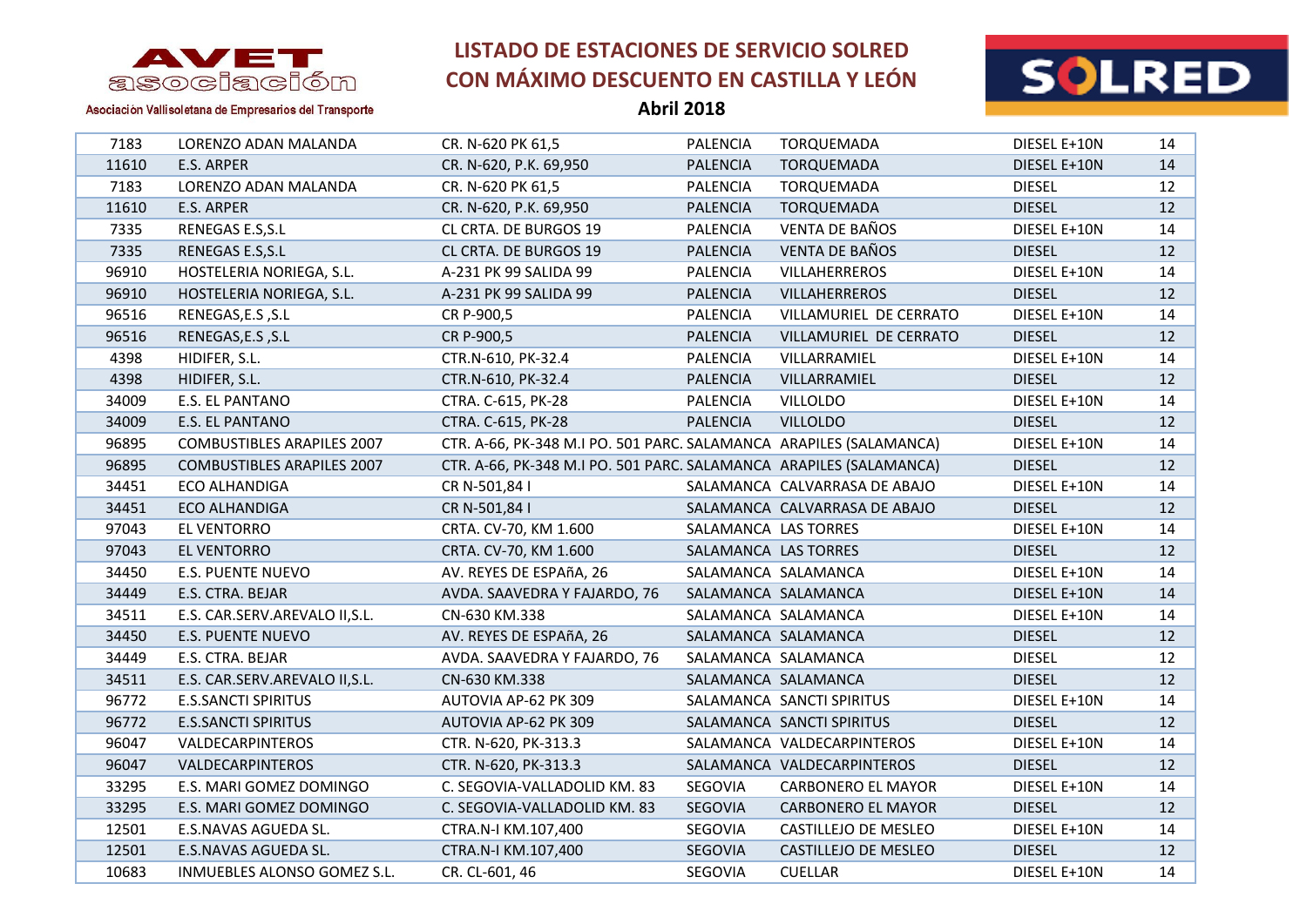

**Abril 2018**



Asociación Vallisoletana de Empresarios del Transporte

| 7183  | LORENZO ADAN MALANDA              | CR. N-620 PK 61,5                                                  | <b>PALENCIA</b>      | TORQUEMADA                    | DIESEL E+10N  | 14                |
|-------|-----------------------------------|--------------------------------------------------------------------|----------------------|-------------------------------|---------------|-------------------|
| 11610 | E.S. ARPER                        | CR. N-620, P.K. 69,950                                             | <b>PALENCIA</b>      | TORQUEMADA                    | DIESEL E+10N  | 14                |
| 7183  | LORENZO ADAN MALANDA              | CR. N-620 PK 61,5                                                  | <b>PALENCIA</b>      | TORQUEMADA                    | <b>DIESEL</b> | 12                |
| 11610 | E.S. ARPER                        | CR. N-620, P.K. 69,950                                             | <b>PALENCIA</b>      | TORQUEMADA                    | <b>DIESEL</b> | 12                |
| 7335  | RENEGAS E.S, S.L                  | CL CRTA. DE BURGOS 19                                              | <b>PALENCIA</b>      | VENTA DE BAÑOS                | DIESEL E+10N  | 14                |
| 7335  | RENEGAS E.S, S.L                  | CL CRTA. DE BURGOS 19                                              | <b>PALENCIA</b>      | <b>VENTA DE BAÑOS</b>         | <b>DIESEL</b> | 12                |
| 96910 | HOSTELERIA NORIEGA, S.L.          | A-231 PK 99 SALIDA 99                                              | <b>PALENCIA</b>      | VILLAHERREROS                 | DIESEL E+10N  | 14                |
| 96910 | HOSTELERIA NORIEGA, S.L.          | A-231 PK 99 SALIDA 99                                              | <b>PALENCIA</b>      | <b>VILLAHERREROS</b>          | <b>DIESEL</b> | 12                |
| 96516 | RENEGAS,E.S, S.L                  | CR P-900,5                                                         | PALENCIA             | VILLAMURIEL DE CERRATO        | DIESEL E+10N  | 14                |
| 96516 | RENEGAS, E.S , S.L                | CR P-900,5                                                         | <b>PALENCIA</b>      | VILLAMURIEL DE CERRATO        | <b>DIESEL</b> | 12                |
| 4398  | HIDIFER, S.L.                     | CTR.N-610, PK-32.4                                                 | <b>PALENCIA</b>      | VILLARRAMIEL                  | DIESEL E+10N  | 14                |
| 4398  | HIDIFER, S.L.                     | CTR.N-610, PK-32.4                                                 | <b>PALENCIA</b>      | VILLARRAMIEL                  | <b>DIESEL</b> | 12                |
| 34009 | E.S. EL PANTANO                   | CTRA. C-615, PK-28                                                 | <b>PALENCIA</b>      | <b>VILLOLDO</b>               | DIESEL E+10N  | 14                |
| 34009 | E.S. EL PANTANO                   | CTRA. C-615, PK-28                                                 | <b>PALENCIA</b>      | <b>VILLOLDO</b>               | <b>DIESEL</b> | 12                |
| 96895 | <b>COMBUSTIBLES ARAPILES 2007</b> | CTR. A-66, PK-348 M.I PO. 501 PARC. SALAMANCA ARAPILES (SALAMANCA) |                      |                               | DIESEL E+10N  | 14                |
| 96895 | <b>COMBUSTIBLES ARAPILES 2007</b> | CTR. A-66, PK-348 M.I PO. 501 PARC. SALAMANCA ARAPILES (SALAMANCA) |                      |                               | <b>DIESEL</b> | 12                |
| 34451 | ECO ALHANDIGA                     | CR N-501,84 I                                                      |                      | SALAMANCA CALVARRASA DE ABAJO | DIESEL E+10N  | 14                |
| 34451 | ECO ALHANDIGA                     | CR N-501,84 I                                                      |                      | SALAMANCA CALVARRASA DE ABAJO | <b>DIESEL</b> | 12                |
| 97043 | EL VENTORRO                       | CRTA. CV-70, KM 1.600                                              | SALAMANCA LAS TORRES |                               | DIESEL E+10N  | 14                |
| 97043 | EL VENTORRO                       | CRTA. CV-70, KM 1.600                                              | SALAMANCA LAS TORRES |                               | <b>DIESEL</b> | 12                |
| 34450 | <b>E.S. PUENTE NUEVO</b>          | AV. REYES DE ESPAñA, 26                                            |                      | SALAMANCA SALAMANCA           | DIESEL E+10N  | 14                |
| 34449 | E.S. CTRA. BEJAR                  | AVDA. SAAVEDRA Y FAJARDO, 76                                       |                      | SALAMANCA SALAMANCA           | DIESEL E+10N  | 14                |
| 34511 | E.S. CAR.SERV.AREVALO II, S.L.    | CN-630 KM.338                                                      |                      | SALAMANCA SALAMANCA           | DIESEL E+10N  | 14                |
| 34450 | <b>E.S. PUENTE NUEVO</b>          | AV. REYES DE ESPAñA, 26                                            |                      | SALAMANCA SALAMANCA           | <b>DIESEL</b> | $12 \overline{ }$ |
| 34449 | E.S. CTRA. BEJAR                  | AVDA. SAAVEDRA Y FAJARDO, 76                                       |                      | SALAMANCA SALAMANCA           | <b>DIESEL</b> | 12                |
| 34511 | E.S. CAR.SERV.AREVALO II, S.L.    | CN-630 KM.338                                                      |                      | SALAMANCA SALAMANCA           | <b>DIESEL</b> | 12                |
| 96772 | <b>E.S.SANCTI SPIRITUS</b>        | AUTOVIA AP-62 PK 309                                               |                      | SALAMANCA SANCTI SPIRITUS     | DIESEL E+10N  | 14                |
| 96772 | <b>E.S.SANCTI SPIRITUS</b>        | AUTOVIA AP-62 PK 309                                               |                      | SALAMANCA SANCTI SPIRITUS     | <b>DIESEL</b> | $12 \overline{ }$ |
| 96047 | VALDECARPINTEROS                  | CTR. N-620, PK-313.3                                               |                      | SALAMANCA VALDECARPINTEROS    | DIESEL E+10N  | 14                |
| 96047 | VALDECARPINTEROS                  | CTR. N-620, PK-313.3                                               |                      | SALAMANCA VALDECARPINTEROS    | <b>DIESEL</b> | 12                |
| 33295 | E.S. MARI GOMEZ DOMINGO           | C. SEGOVIA-VALLADOLID KM. 83                                       | SEGOVIA              | <b>CARBONERO EL MAYOR</b>     | DIESEL E+10N  | 14                |
| 33295 | E.S. MARI GOMEZ DOMINGO           | C. SEGOVIA-VALLADOLID KM. 83                                       | SEGOVIA              | <b>CARBONERO EL MAYOR</b>     | <b>DIESEL</b> | 12                |
| 12501 | E.S.NAVAS AGUEDA SL.              | CTRA.N-I KM.107,400                                                | SEGOVIA              | CASTILLEJO DE MESLEO          | DIESEL E+10N  | 14                |
| 12501 | E.S.NAVAS AGUEDA SL.              | CTRA.N-I KM.107,400                                                | SEGOVIA              | CASTILLEJO DE MESLEO          | <b>DIESEL</b> | 12                |
| 10683 | INMUEBLES ALONSO GOMEZ S.L.       | CR. CL-601, 46                                                     | SEGOVIA              | <b>CUELLAR</b>                | DIESEL E+10N  | 14                |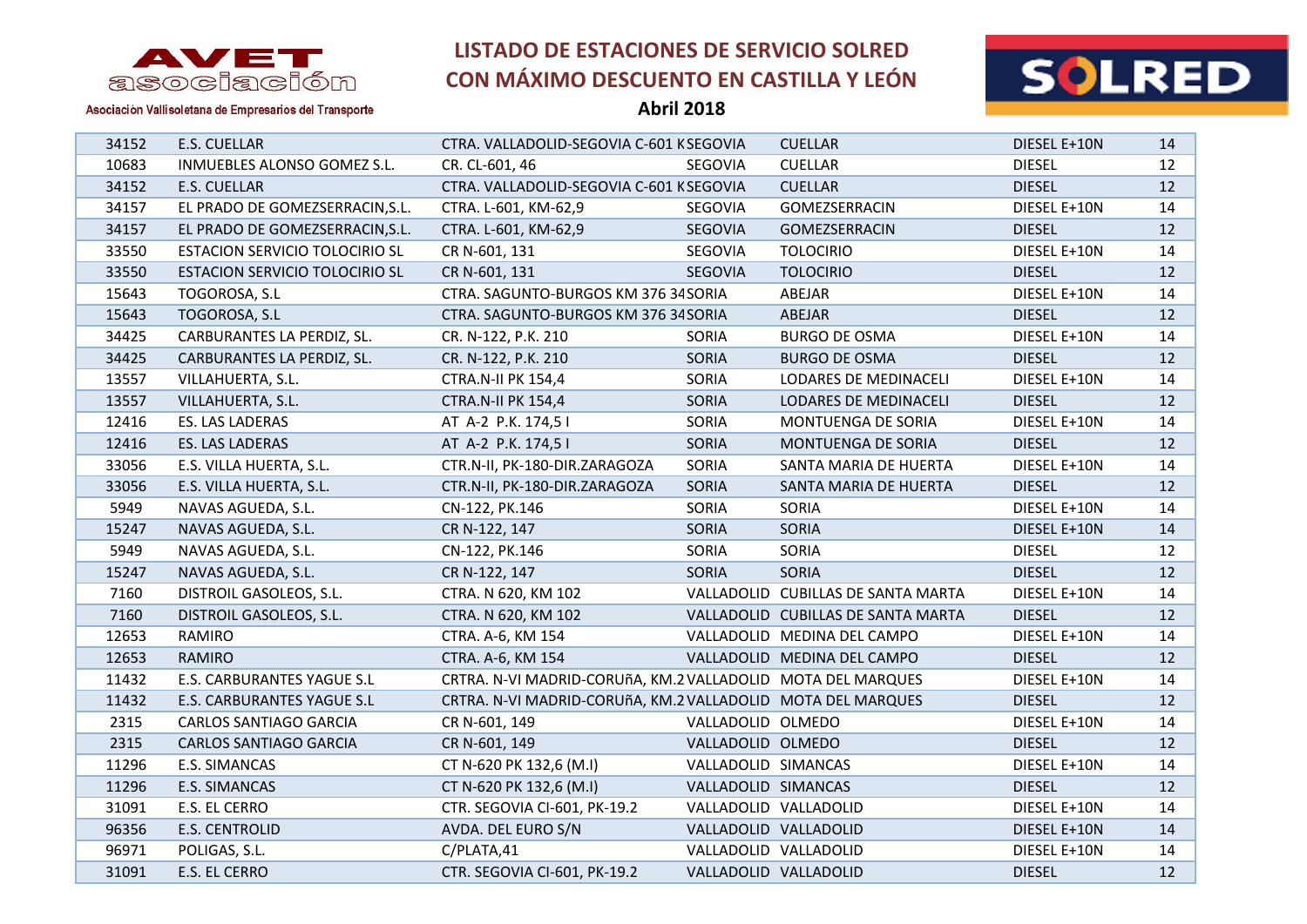



Asociación Vallisoletana de Empresarios del Transporte

**Abril 2018**

| 34152 | E.S. CUELLAR                    | CTRA. VALLADOLID-SEGOVIA C-601 KSEGOVIA                     |                     | <b>CUELLAR</b>                     | DIESEL E+10N  | 14              |
|-------|---------------------------------|-------------------------------------------------------------|---------------------|------------------------------------|---------------|-----------------|
| 10683 | INMUEBLES ALONSO GOMEZ S.L.     | CR. CL-601, 46                                              | SEGOVIA             | <b>CUELLAR</b>                     | <b>DIESEL</b> | 12              |
| 34152 | E.S. CUELLAR                    | CTRA. VALLADOLID-SEGOVIA C-601 KSEGOVIA                     |                     | <b>CUELLAR</b>                     | <b>DIESEL</b> | 12              |
| 34157 | EL PRADO DE GOMEZSERRACIN, S.L. | CTRA. L-601, KM-62,9                                        | SEGOVIA             | GOMEZSERRACIN                      | DIESEL E+10N  | 14              |
| 34157 | EL PRADO DE GOMEZSERRACIN, S.L. | CTRA. L-601, KM-62,9                                        | SEGOVIA             | <b>GOMEZSERRACIN</b>               | <b>DIESEL</b> | 12              |
| 33550 | ESTACION SERVICIO TOLOCIRIO SL  | CR N-601, 131                                               | SEGOVIA             | <b>TOLOCIRIO</b>                   | DIESEL E+10N  | 14              |
| 33550 | ESTACION SERVICIO TOLOCIRIO SL  | CR N-601, 131                                               | SEGOVIA             | <b>TOLOCIRIO</b>                   | <b>DIESEL</b> | 12 <sup>2</sup> |
| 15643 | TOGOROSA, S.L                   | CTRA. SAGUNTO-BURGOS KM 376 34 SORIA                        |                     | ABEJAR                             | DIESEL E+10N  | 14              |
| 15643 | TOGOROSA, S.L                   | CTRA. SAGUNTO-BURGOS KM 376 34 SORIA                        |                     | ABEJAR                             | <b>DIESEL</b> | 12              |
| 34425 | CARBURANTES LA PERDIZ, SL.      | CR. N-122, P.K. 210                                         | SORIA               | <b>BURGO DE OSMA</b>               | DIESEL E+10N  | 14              |
| 34425 | CARBURANTES LA PERDIZ, SL.      | CR. N-122, P.K. 210                                         | SORIA               | <b>BURGO DE OSMA</b>               | <b>DIESEL</b> | 12              |
| 13557 | VILLAHUERTA, S.L.               | <b>CTRA.N-II PK 154,4</b>                                   | SORIA               | LODARES DE MEDINACELI              | DIESEL E+10N  | 14              |
| 13557 | VILLAHUERTA, S.L.               | <b>CTRA.N-II PK 154,4</b>                                   | SORIA               | LODARES DE MEDINACELI              | <b>DIESEL</b> | 12              |
| 12416 | ES. LAS LADERAS                 | AT A-2 P.K. 174,5 I                                         | SORIA               | MONTUENGA DE SORIA                 | DIESEL E+10N  | 14              |
| 12416 | ES. LAS LADERAS                 | AT A-2 P.K. 174,5 I                                         | SORIA               | MONTUENGA DE SORIA                 | <b>DIESEL</b> | 12              |
| 33056 | E.S. VILLA HUERTA, S.L.         | CTR.N-II, PK-180-DIR.ZARAGOZA                               | SORIA               | SANTA MARIA DE HUERTA              | DIESEL E+10N  | 14              |
| 33056 | E.S. VILLA HUERTA, S.L.         | CTR.N-II, PK-180-DIR.ZARAGOZA                               | SORIA               | SANTA MARIA DE HUERTA              | <b>DIESEL</b> | 12              |
| 5949  | NAVAS AGUEDA, S.L.              | CN-122, PK.146                                              | SORIA               | SORIA                              | DIESEL E+10N  | 14              |
| 15247 | NAVAS AGUEDA, S.L.              | CR N-122, 147                                               | SORIA               | SORIA                              | DIESEL E+10N  | 14              |
| 5949  | NAVAS AGUEDA, S.L.              | CN-122, PK.146                                              | SORIA               | SORIA                              | <b>DIESEL</b> | 12              |
| 15247 | NAVAS AGUEDA, S.L.              | CR N-122, 147                                               | <b>SORIA</b>        | SORIA                              | <b>DIESEL</b> | 12              |
| 7160  | DISTROIL GASOLEOS, S.L.         | CTRA. N 620, KM 102                                         |                     | VALLADOLID CUBILLAS DE SANTA MARTA | DIESEL E+10N  | 14              |
| 7160  | DISTROIL GASOLEOS, S.L.         | CTRA. N 620, KM 102                                         |                     | VALLADOLID CUBILLAS DE SANTA MARTA | <b>DIESEL</b> | 12              |
| 12653 | RAMIRO                          | CTRA. A-6, KM 154                                           |                     | VALLADOLID MEDINA DEL CAMPO        | DIESEL E+10N  | 14              |
| 12653 | <b>RAMIRO</b>                   | CTRA. A-6, KM 154                                           |                     | VALLADOLID MEDINA DEL CAMPO        | <b>DIESEL</b> | 12              |
| 11432 | E.S. CARBURANTES YAGUE S.L      | CRTRA. N-VI MADRID-CORUñA, KM.2 VALLADOLID MOTA DEL MARQUES |                     |                                    | DIESEL E+10N  | 14              |
| 11432 | E.S. CARBURANTES YAGUE S.L      | CRTRA. N-VI MADRID-CORUñA, KM.2 VALLADOLID MOTA DEL MARQUES |                     |                                    | <b>DIESEL</b> | 12              |
| 2315  | <b>CARLOS SANTIAGO GARCIA</b>   | CR N-601, 149                                               | VALLADOLID OLMEDO   |                                    | DIESEL E+10N  | 14              |
| 2315  | CARLOS SANTIAGO GARCIA          | CR N-601, 149                                               | VALLADOLID OLMEDO   |                                    | <b>DIESEL</b> | 12              |
| 11296 | E.S. SIMANCAS                   | CT N-620 PK 132,6 (M.I)                                     | VALLADOLID SIMANCAS |                                    | DIESEL E+10N  | 14              |
| 11296 | E.S. SIMANCAS                   | CT N-620 PK 132,6 (M.I)                                     | VALLADOLID SIMANCAS |                                    | <b>DIESEL</b> | 12              |
| 31091 | E.S. EL CERRO                   | CTR. SEGOVIA CI-601, PK-19.2                                |                     | VALLADOLID VALLADOLID              | DIESEL E+10N  | 14              |
| 96356 | <b>E.S. CENTROLID</b>           | AVDA. DEL EURO S/N                                          |                     | VALLADOLID VALLADOLID              | DIESEL E+10N  | 14              |
| 96971 | POLIGAS, S.L.                   | C/PLATA,41                                                  |                     | VALLADOLID VALLADOLID              | DIESEL E+10N  | 14              |
| 31091 | E.S. EL CERRO                   | CTR. SEGOVIA CI-601, PK-19.2                                |                     | VALLADOLID VALLADOLID              | <b>DIESEL</b> | 12              |